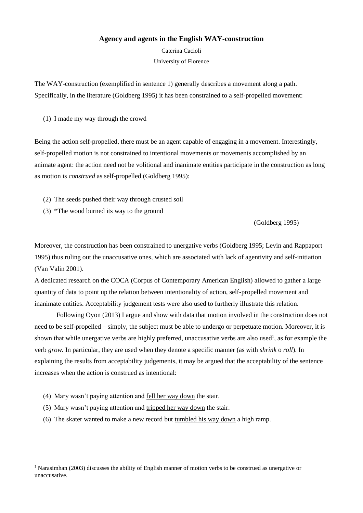## **Agency and agents in the English WAY-construction**

Caterina Cacioli University of Florence

The WAY-construction (exemplified in sentence 1) generally describes a movement along a path. Specifically, in the literature (Goldberg 1995) it has been constrained to a self-propelled movement:

(1) I made my way through the crowd

Being the action self-propelled, there must be an agent capable of engaging in a movement. Interestingly, self-propelled motion is not constrained to intentional movements or movements accomplished by an animate agent: the action need not be volitional and inanimate entities participate in the construction as long as motion is *construed* as self-propelled (Goldberg 1995):

- (2) The seeds pushed their way through crusted soil
- (3) \*The wood burned its way to the ground

(Goldberg 1995)

Moreover, the construction has been constrained to unergative verbs (Goldberg 1995; Levin and Rappaport 1995) thus ruling out the unaccusative ones, which are associated with lack of agentivity and self-initiation (Van Valin 2001).

A dedicated research on the COCA (Corpus of Contemporary American English) allowed to gather a large quantity of data to point up the relation between intentionality of action, self-propelled movement and inanimate entities. Acceptability judgement tests were also used to furtherly illustrate this relation.

Following Oyon (2013) I argue and show with data that motion involved in the construction does not need to be self-propelled – simply, the subject must be able to undergo or perpetuate motion. Moreover, it is shown that while unergative verbs are highly preferred, unaccusative verbs are also used<sup>1</sup>, as for example the verb *grow.* In particular, they are used when they denote a specific manner (as with *shrink* o *roll*)*.* In explaining the results from acceptability judgements, it may be argued that the acceptability of the sentence increases when the action is construed as intentional:

- (4) Mary wasn't paying attention and fell her way down the stair.
- (5) Mary wasn't paying attention and tripped her way down the stair.
- (6) The skater wanted to make a new record but tumbled his way down a high ramp.

<sup>1</sup> Narasimhan (2003) discusses the ability of English manner of motion verbs to be construed as unergative or unaccusative.